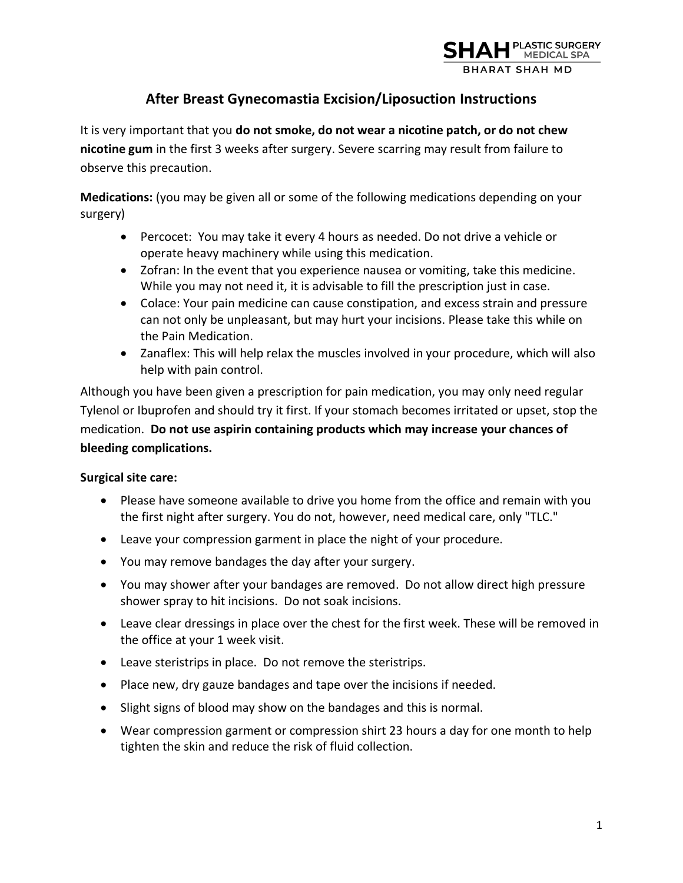

# **After Breast Gynecomastia Excision/Liposuction Instructions**

It is very important that you **do not smoke, do not wear a nicotine patch, or do not chew nicotine gum** in the first 3 weeks after surgery. Severe scarring may result from failure to observe this precaution.

**Medications:** (you may be given all or some of the following medications depending on your surgery)

- Percocet: You may take it every 4 hours as needed. Do not drive a vehicle or operate heavy machinery while using this medication.
- Zofran: In the event that you experience nausea or vomiting, take this medicine. While you may not need it, it is advisable to fill the prescription just in case.
- Colace: Your pain medicine can cause constipation, and excess strain and pressure can not only be unpleasant, but may hurt your incisions. Please take this while on the Pain Medication.
- Zanaflex: This will help relax the muscles involved in your procedure, which will also help with pain control.

Although you have been given a prescription for pain medication, you may only need regular Tylenol or Ibuprofen and should try it first. If your stomach becomes irritated or upset, stop the medication. **Do not use aspirin containing products which may increase your chances of bleeding complications.** 

#### **Surgical site care:**

- Please have someone available to drive you home from the office and remain with you the first night after surgery. You do not, however, need medical care, only "TLC."
- Leave your compression garment in place the night of your procedure.
- You may remove bandages the day after your surgery.
- You may shower after your bandages are removed. Do not allow direct high pressure shower spray to hit incisions. Do not soak incisions.
- Leave clear dressings in place over the chest for the first week. These will be removed in the office at your 1 week visit.
- Leave steristrips in place. Do not remove the steristrips.
- Place new, dry gauze bandages and tape over the incisions if needed.
- Slight signs of blood may show on the bandages and this is normal.
- Wear compression garment or compression shirt 23 hours a day for one month to help tighten the skin and reduce the risk of fluid collection.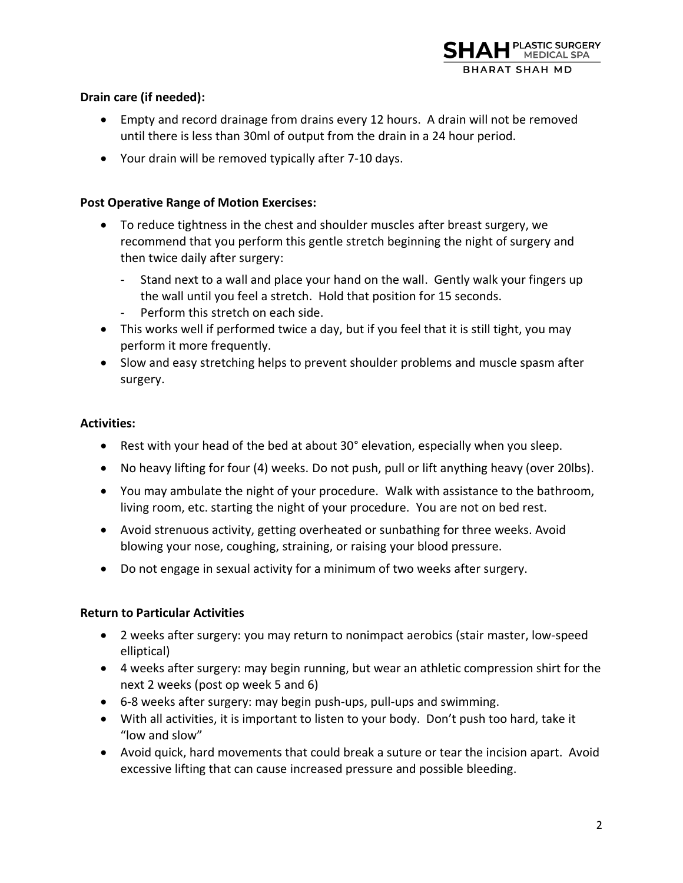

## **Drain care (if needed):**

- Empty and record drainage from drains every 12 hours. A drain will not be removed until there is less than 30ml of output from the drain in a 24 hour period.
- Your drain will be removed typically after 7-10 days.

#### **Post Operative Range of Motion Exercises:**

- To reduce tightness in the chest and shoulder muscles after breast surgery, we recommend that you perform this gentle stretch beginning the night of surgery and then twice daily after surgery:
	- Stand next to a wall and place your hand on the wall. Gently walk your fingers up the wall until you feel a stretch. Hold that position for 15 seconds.
	- Perform this stretch on each side.
- This works well if performed twice a day, but if you feel that it is still tight, you may perform it more frequently.
- Slow and easy stretching helps to prevent shoulder problems and muscle spasm after surgery.

#### **Activities:**

- Rest with your head of the bed at about 30° elevation, especially when you sleep.
- No heavy lifting for four (4) weeks. Do not push, pull or lift anything heavy (over 20lbs).
- You may ambulate the night of your procedure. Walk with assistance to the bathroom, living room, etc. starting the night of your procedure. You are not on bed rest.
- Avoid strenuous activity, getting overheated or sunbathing for three weeks. Avoid blowing your nose, coughing, straining, or raising your blood pressure.
- Do not engage in sexual activity for a minimum of two weeks after surgery.

#### **Return to Particular Activities**

- 2 weeks after surgery: you may return to nonimpact aerobics (stair master, low-speed elliptical)
- 4 weeks after surgery: may begin running, but wear an athletic compression shirt for the next 2 weeks (post op week 5 and 6)
- 6-8 weeks after surgery: may begin push-ups, pull-ups and swimming.
- With all activities, it is important to listen to your body. Don't push too hard, take it "low and slow"
- Avoid quick, hard movements that could break a suture or tear the incision apart. Avoid excessive lifting that can cause increased pressure and possible bleeding.